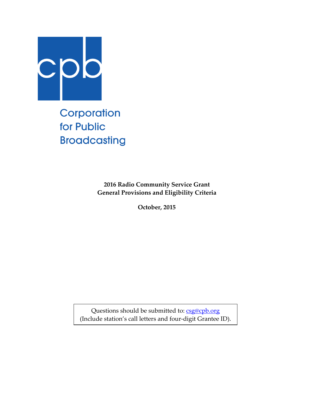

Corporation for Public **Broadcasting** 

> **2016 Radio Community Service Grant General Provisions and Eligibility Criteria**

> > **October, 2015**

Questions should be submitted to: [csg@cpb.org](mailto:csg@cpb.org) (Include station's call letters and four-digit Grantee ID).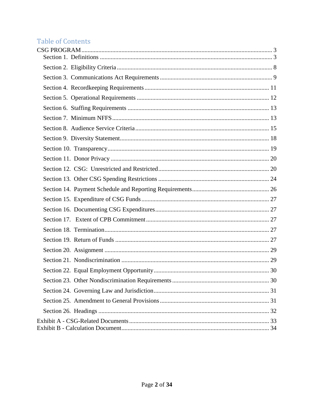# Table of Contents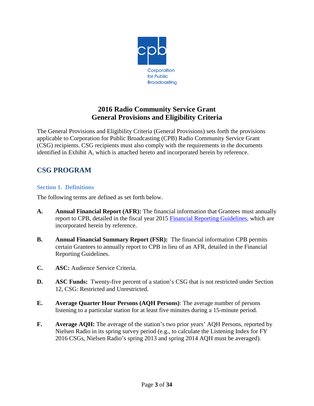

## **2016 Radio Community Service Grant General Provisions and Eligibility Criteria**

The General Provisions and Eligibility Criteria (General Provisions) sets forth the provisions applicable to Corporation for Public Broadcasting (CPB) Radio Community Service Grant (CSG) recipients. CSG recipients must also comply with the requirements in the documents identified in Exhibit A, which is attached hereto and incorporated herein by reference.

## <span id="page-2-0"></span>**CSG PROGRAM**

#### <span id="page-2-1"></span>**Section 1. Definitions**

The following terms are defined as set forth below.

- **A. Annual Financial Report (AFR):** The financial information that Grantees must annually report to CPB, detailed in the fiscal year 2015 [Financial Reporting Guidelines,](http://www.cpb.org/stations/frg/2014_cpb_frg.pdf) which are incorporated herein by reference.
- **B. Annual Financial Summary Report (FSR):** The financial information CPB permits certain Grantees to annually report to CPB in lieu of an AFR, detailed in the Financial Reporting Guidelines.
- **C. ASC:** Audience Service Criteria.
- **D. ASC Funds:** Twenty-five percent of a station's CSG that is not restricted under Section 12, CSG: Restricted and Unrestricted.
- **E. Average Quarter Hour Persons (AQH Persons)**: The average number of persons listening to a particular station for at least five minutes during a 15-minute period.
- **F. Average AQH:** The average of the station's two prior years' AQH Persons, reported by Nielsen Radio in its spring survey period (e.g., to calculate the Listening Index for FY 2016 CSGs, Nielsen Radio's spring 2013 and spring 2014 AQH must be averaged).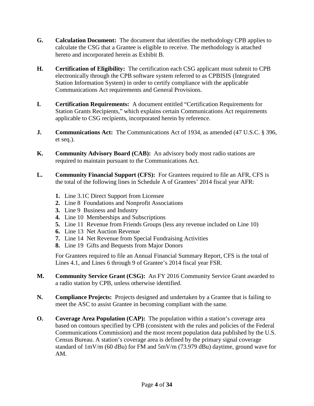- **G. Calculation Document:** The document that identifies the methodology CPB applies to calculate the CSG that a Grantee is eligible to receive. The methodology is attached hereto and incorporated herein as Exhibit B.
- **H. Certification of Eligibility:** The certification each CSG applicant must submit to CPB electronically through the CPB software system referred to as CPBISIS (Integrated Station Information System) in order to certify compliance with the applicable Communications Act requirements and General Provisions.
- **I. Certification Requirements:** A document entitled "Certification Requirements for Station Grants Recipients," which explains certain Communications Act requirements applicable to CSG recipients, incorporated herein by reference.
- **J. Communications Act:** The Communications Act of 1934, as amended (47 U.S.C. § 396, et seq.).
- **K. Community Advisory Board (CAB):** An advisory body most radio stations are required to maintain pursuant to the Communications Act.
- **L. Community Financial Support (CFS):** For Grantees required to file an AFR, CFS is the total of the following lines in Schedule A of Grantees' 2014 fiscal year AFR:
	- **1.** Line 3.1C Direct Support from Licensee
	- **2.** Line 8 Foundations and Nonprofit Associations
	- **3.** Line 9 Business and Industry
	- **4.** Line 10 Memberships and Subscriptions
	- **5.** Line 11 Revenue from Friends Groups (less any revenue included on Line 10)
	- **6.** Line 13 Net Auction Revenue
	- **7.** Line 14 Net Revenue from Special Fundraising Activities
	- **8.** Line 19 Gifts and Bequests from Major Donors

For Grantees required to file an Annual Financial Summary Report, CFS is the total of Lines 4.1, and Lines 6 through 9 of Grantee's 2014 fiscal year FSR.

- **M. Community Service Grant (CSG):** An FY 2016 Community Service Grant awarded to a radio station by CPB, unless otherwise identified.
- **N. Compliance Projects:** Projects designed and undertaken by a Grantee that is failing to meet the ASC to assist Grantee in becoming compliant with the same.
- **O. Coverage Area Population (CAP):** The population within a station's coverage area based on contours specified by CPB (consistent with the rules and policies of the Federal Communications Commission) and the most recent population data published by the U.S. Census Bureau. A station's coverage area is defined by the primary signal coverage standard of 1mV/m (60 dBu) for FM and 5mV/m (73.979 dBu) daytime, ground wave for AM.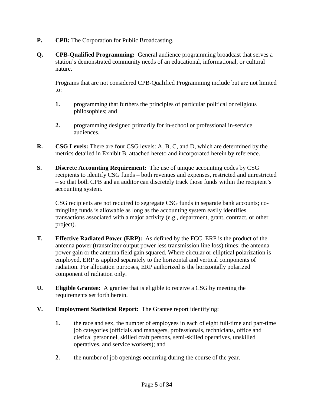- **P. CPB:** The Corporation for Public Broadcasting.
- **Q. CPB-Qualified Programming:** General audience programming broadcast that serves a station's demonstrated community needs of an educational, informational, or cultural nature.

Programs that are not considered CPB-Qualified Programming include but are not limited to:

- **1.** programming that furthers the principles of particular political or religious philosophies; and
- **2.** programming designed primarily for in-school or professional in-service audiences.
- **R. CSG Levels:** There are four CSG levels: A, B, C, and D, which are determined by the metrics detailed in Exhibit B, attached hereto and incorporated herein by reference.
- **S. Discrete Accounting Requirement:** The use of unique accounting codes by CSG recipients to identify CSG funds – both revenues and expenses, restricted and unrestricted – so that both CPB and an auditor can discretely track those funds within the recipient's accounting system.

CSG recipients are not required to segregate CSG funds in separate bank accounts; comingling funds is allowable as long as the accounting system easily identifies transactions associated with a major activity (e.g., department, grant, contract, or other project).

- **T. Effective Radiated Power (ERP):** As defined by the FCC, ERP is the product of the antenna power (transmitter output power less transmission line loss) times: the antenna power gain or the antenna field gain squared. Where circular or elliptical polarization is employed, ERP is applied separately to the horizontal and vertical components of radiation. For allocation purposes, ERP authorized is the horizontally polarized component of radiation only.
- **U. Eligible Grantee:** A grantee that is eligible to receive a CSG by meeting the requirements set forth herein.
- **V. Employment Statistical Report:** The Grantee report identifying:
	- **1.** the race and sex, the number of employees in each of eight full-time and part-time job categories (officials and managers, professionals, technicians, office and clerical personnel, skilled craft persons, semi-skilled operatives, unskilled operatives, and service workers); and
	- **2.** the number of job openings occurring during the course of the year.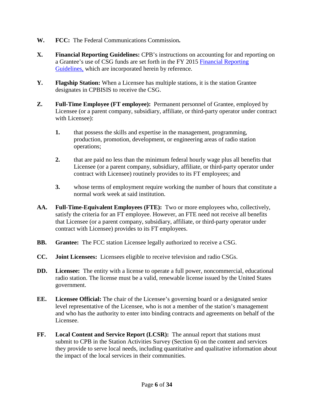- **W. FCC:** The Federal Communications Commission**.**
- **X. Financial Reporting Guidelines:** CPB's instructions on accounting for and reporting on a Grantee's use of CSG funds are set forth in the FY 2015 [Financial Reporting](http://cpb.org/stations/frg/2014_cpb_frg.pdf)  [Guidelines,](http://cpb.org/stations/frg/2014_cpb_frg.pdf) which are incorporated herein by reference.
- **Y. Flagship Station:** When a Licensee has multiple stations, it is the station Grantee designates in CPBISIS to receive the CSG.
- **Z. Full-Time Employee (FT employee):** Permanent personnel of Grantee, employed by Licensee (or a parent company, subsidiary, affiliate, or third-party operator under contract with Licensee):
	- **1.** that possess the skills and expertise in the management, programming, production, promotion, development, or engineering areas of radio station operations;
	- **2.** that are paid no less than the minimum federal hourly wage plus all benefits that Licensee (or a parent company, subsidiary, affiliate, or third-party operator under contract with Licensee) routinely provides to its FT employees; and
	- **3.** whose terms of employment require working the number of hours that constitute a normal work week at said institution.
- **AA. Full-Time-Equivalent Employees (FTE):** Two or more employees who, collectively, satisfy the criteria for an FT employee. However, an FTE need not receive all benefits that Licensee (or a parent company, subsidiary, affiliate, or third-party operator under contract with Licensee) provides to its FT employees.
- **BB. Grantee:** The FCC station Licensee legally authorized to receive a CSG.
- **CC. Joint Licensees:** Licensees eligible to receive television and radio CSGs.
- **DD. Licensee:** The entity with a license to operate a full power, noncommercial, educational radio station. The license must be a valid, renewable license issued by the United States government.
- **EE. Licensee Official:** The chair of the Licensee's governing board or a designated senior level representative of the Licensee, who is not a member of the station's management and who has the authority to enter into binding contracts and agreements on behalf of the Licensee.
- **FF. Local Content and Service Report (LCSR):** The annual report that stations must submit to CPB in the Station Activities Survey (Section 6) on the content and services they provide to serve local needs, including quantitative and qualitative information about the impact of the local services in their communities.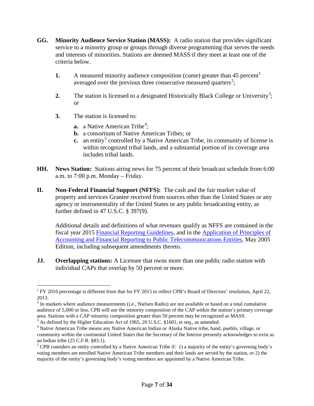- **GG. Minority Audience Service Station (MASS):** A radio station that provides significant service to a minority group or groups through diverse programming that serves the needs and interests of minorities. Stations are deemed MASS if they meet at least one of the criteria below.
	- **[1](#page-6-0).** A measured minority audience composition (cume) greater than 45 percent<sup>1</sup> averaged over the previous three consecutive measured quarters<sup>[2](#page-6-1)</sup>;
	- **2.** The station is licensed to a designated Historically Black College or University<sup>[3](#page-6-2)</sup>; or
	- **3.** The station is licensed to:
		- **a.** a Native American Tribe<sup>[4](#page-6-3)</sup>;
		- **b.** a consortium of Native American Tribes; or
		- **c.** an entity<sup>[5](#page-6-4)</sup> controlled by a Native American Tribe, its community of license is within recognized tribal lands, and a substantial portion of its coverage area includes tribal lands.
- **HH. News Station:** Stations airing news for 75 percent of their broadcast schedule from 6:00 a.m. to 7:00 p.m. Monday – Friday.
- **II. Non-Federal Financial Support (NFFS):** The cash and the fair market value of property and services Grantee received from sources other than the United States or any agency or instrumentality of the United States or any public broadcasting entity, as further defined in 47 U.S.C. § 397(9).

Additional details and definitions of what revenues qualify as NFFS are contained in the fiscal year 2015 [Financial Reporting Guidelines,](http://www.cpb.org/stations/frg/2014_cpb_frg.pdf) and in the [Application of Principles of](http://www.cpb.org/stations/principles/principlesofaccounting050818.pdf)  [Accounting and Financial Reporting to Public Telecommunications Entities,](http://www.cpb.org/stations/principles/principlesofaccounting050818.pdf) May 2005 Edition, including subsequent amendments thereto.

**JJ. Overlapping stations:** A Licensee that owns more than one public radio station with individual CAPs that overlap by 50 percent or more.

<span id="page-6-0"></span><sup>&</sup>lt;sup>1</sup> FY 2016 percentage is different from that for FY 2015 to reflect CPB's Board of Directors' resolution, April 22,

<span id="page-6-1"></span><sup>2013.&</sup>lt;br><sup>2</sup> In markets where audience measurements (i.e., Nielsen Radio) are not available or based on a total cumulative audience of 5,000 or less, CPB will use the minority composition of the CAP within the station's primary coverage area. Stations with a CAP minority composition greater than 50 percent may be recognized as MASS.

<span id="page-6-2"></span><sup>&</sup>lt;sup>3</sup> As defined by the Higher Education Act of 1965, 20 U.S.C. §1601, et seq., as amended.

<span id="page-6-3"></span><sup>4</sup> Native American Tribe means any Native American Indian or Alaska Native tribe, band, pueblo, village, or community within the continental United States that the Secretary of the Interior presently acknowledges to exist as an Indian tribe (25 C.F.R. §83.1).

<span id="page-6-4"></span> $5$  CPB considers an entity controlled by a Native American Tribe if: 1) a majority of the entity's governing body's voting members are enrolled Native American Tribe members and their lands are served by the station, or 2) the majority of the entity's governing body's voting members are appointed by a Native American Tribe.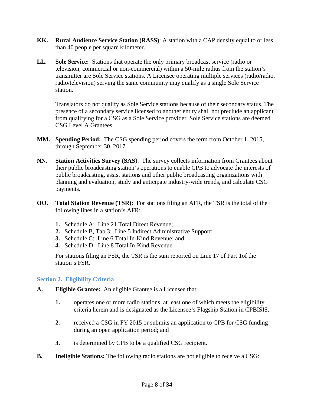- **KK. Rural Audience Service Station (RASS)**: A station with a CAP density equal to or less than 40 people per square kilometer.
- **LL. Sole Service:** Stations that operate the only primary broadcast service (radio or television, commercial or non-commercial) within a 50-mile radius from the station's transmitter are Sole Service stations. A Licensee operating multiple services (radio/radio, radio/television) serving the same community may qualify as a single Sole Service station.

Translators do not qualify as Sole Service stations because of their secondary status. The presence of a secondary service licensed to another entity shall not preclude an applicant from qualifying for a CSG as a Sole Service provider. Sole Service stations are deemed CSG Level A Grantees.

- **MM. Spending Period:** The CSG spending period covers the term from October 1, 2015, through September 30, 2017.
- **NN. Station Activities Survey (SAS**): The survey collects information from Grantees about their public broadcasting station's operations to enable CPB to advocate the interests of public broadcasting, assist stations and other public broadcasting organizations with planning and evaluation, study and anticipate industry-wide trends, and calculate CSG payments.
- **OO. Total Station Revenue (TSR):** For stations filing an AFR, the TSR is the total of the following lines in a station's AFR:
	- **1.** Schedule A: Line 21 Total Direct Revenue;
	- **2.** Schedule B, Tab 3: Line 5 Indirect Administrative Support;
	- **3.** Schedule C: Line 6 Total In-Kind Revenue; and
	- **4.** Schedule D: Line 8 Total In-Kind Revenue.

For stations filing an FSR, the TSR is the sum reported on Line 17 of Part 1of the station's FSR.

#### <span id="page-7-0"></span>**Section 2. Eligibility Criteria**

- **A. Eligible Grantee:** An eligible Grantee is a Licensee that:
	- **1.** operates one or more radio stations, at least one of which meets the eligibility criteria herein and is designated as the Licensee's Flagship Station in CPBISIS;
	- **2.** received a CSG in FY 2015 or submits an application to CPB for CSG funding during an open application period; and
	- **3.** is determined by CPB to be a qualified CSG recipient.
- **B. Ineligible Stations:** The following radio stations are not eligible to receive a CSG: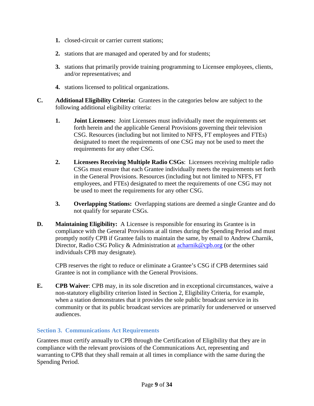- **1.** closed-circuit or carrier current stations;
- **2.** stations that are managed and operated by and for students;
- **3.** stations that primarily provide training programming to Licensee employees, clients, and/or representatives; and
- **4.** stations licensed to political organizations.
- **C. Additional Eligibility Criteria:** Grantees in the categories below are subject to the following additional eligibility criteria:
	- **1. Joint Licensees:** Joint Licensees must individually meet the requirements set forth herein and the applicable General Provisions governing their television CSG. Resources (including but not limited to NFFS, FT employees and FTEs) designated to meet the requirements of one CSG may not be used to meet the requirements for any other CSG.
	- **2. Licensees Receiving Multiple Radio CSGs**: Licensees receiving multiple radio CSGs must ensure that each Grantee individually meets the requirements set forth in the General Provisions. Resources (including but not limited to NFFS, FT employees, and FTEs) designated to meet the requirements of one CSG may not be used to meet the requirements for any other CSG.
	- **3. Overlapping Stations:** Overlapping stations are deemed a single Grantee and do not qualify for separate CSGs.
- **D. Maintaining Eligibility:** A Licensee is responsible for ensuring its Grantee is in compliance with the General Provisions at all times during the Spending Period and must promptly notify CPB if Grantee fails to maintain the same, by email to Andrew Charnik, Director, Radio CSG Policy & Administration at [acharnik@cpb.org](mailto:acharnik@cpb.org) (or the other individuals CPB may designate).

CPB reserves the right to reduce or eliminate a Grantee's CSG if CPB determines said Grantee is not in compliance with the General Provisions.

**E. CPB Waiver**: CPB may, in its sole discretion and in exceptional circumstances, waive a non-statutory eligibility criterion listed in Section 2, Eligibility Criteria, for example, when a station demonstrates that it provides the sole public broadcast service in its community or that its public broadcast services are primarily for underserved or unserved audiences.

## <span id="page-8-0"></span>**Section 3. Communications Act Requirements**

Grantees must certify annually to CPB through the Certification of Eligibility that they are in compliance with the relevant provisions of the Communications Act, representing and warranting to CPB that they shall remain at all times in compliance with the same during the Spending Period.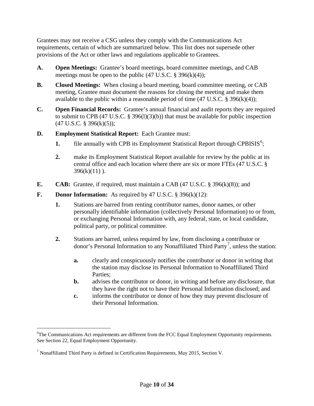Grantees may not receive a CSG unless they comply with the Communications Act requirements, certain of which are summarized below. This list does not supersede other provisions of the Act or other laws and regulations applicable to Grantees.

- **A. Open Meetings:** Grantee's board meetings, board committee meetings, and CAB meetings must be open to the public  $(47 \text{ U.S.C.} \text{ } \text{\$ } 396 \text{(k)}(4))$ ;
- **B. Closed Meetings:** When closing a board meeting, board committee meeting, or CAB meeting, Grantee must document the reasons for closing the meeting and make them available to the public within a reasonable period of time  $(47 \text{ U.S.C.} \text{ } \text{\$ } 396(\text{k})(4))$ ;
- **C. Open Financial Records:** Grantee's annual financial and audit reports they are required to submit to CPB (47 U.S.C.  $\S$  396(1)(3)(b)) that must be available for public inspection  $(47 \text{ U.S.C. } § 396(k)(5));$
- **D. Employment Statistical Report:** Each Grantee must:
	- **1.** file annually with CPB its Employment Statistical Report through CPBISIS<sup>[6](#page-9-0)</sup>;
	- **2.** make its Employment Statistical Report available for review by the public at its central office and each location where there are six or more FTEs (47 U.S.C. §  $396(k)(11)$ .
- **E. CAB:** Grantee, if required, must maintain a CAB (47 U.S.C. § 396(k)(8)); and
- **F. Donor Information:** As required by 47 U.S.C. § 396(k)(12):
	- **1.** Stations are barred from renting contributor names, donor names, or other personally identifiable information (collectively Personal Information) to or from, or exchanging Personal Information with, any federal, state, or local candidate, political party, or political committee.
	- **2.** Stations are barred, unless required by law, from disclosing a contributor or donor's Personal Information to any Nonaffiliated Third Party<sup>[7](#page-9-1)</sup>, unless the station:
		- **a.** clearly and conspicuously notifies the contributor or donor in writing that the station may disclose its Personal Information to Nonaffiliated Third Parties;
		- **b.** advises the contributor or donor, in writing and before any disclosure, that they have the right not to have their Personal Information disclosed; and
		- **c.** informs the contributor or donor of how they may prevent disclosure of their Personal Information.

<span id="page-9-0"></span> <sup>6</sup> <sup>6</sup>The Communications Act requirements are different from the FCC Equal Employment Opportunity requirements. See Section 22, Equal Employment Opportunity.

<span id="page-9-1"></span><sup>7</sup> Nonaffiliated Third Party is defined in Certification Requirements, May 2015, Section V.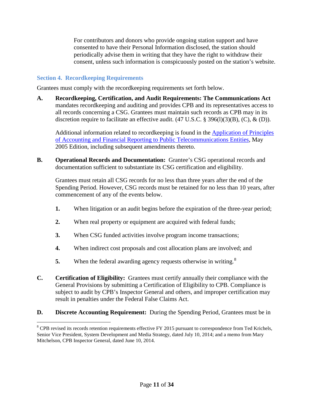For contributors and donors who provide ongoing station support and have consented to have their Personal Information disclosed, the station should periodically advise them in writing that they have the right to withdraw their consent, unless such information is conspicuously posted on the station's website.

#### <span id="page-10-0"></span>**Section 4. Recordkeeping Requirements**

Grantees must comply with the recordkeeping requirements set forth below.

**A. Recordkeeping, Certification, and Audit Requirements: The Communications Act** mandates recordkeeping and auditing and provides CPB and its representatives access to all records concerning a CSG. Grantees must maintain such records as CPB may in its discretion require to facilitate an effective audit.  $(47 \text{ U.S.C.} \text{ } \text{\$ } 396(1)(3)(B), (C), \& (D)).$ 

Additional information related to recordkeeping is found in the [Application of Principles](http://www.cpb.org/stations/principles/principlesofaccounting050818.pdf)  [of Accounting and Financial Reporting to Public Telecommunications Entities,](http://www.cpb.org/stations/principles/principlesofaccounting050818.pdf) May 2005 Edition, including subsequent amendments thereto.

**B. Operational Records and Documentation:** Grantee's CSG operational records and documentation sufficient to substantiate its CSG certification and eligibility.

Grantees must retain all CSG records for no less than three years after the end of the Spending Period. However, CSG records must be retained for no less than 10 years, after commencement of any of the events below.

- **1.** When litigation or an audit begins before the expiration of the three-year period;
- **2.** When real property or equipment are acquired with federal funds;
- **3.** When CSG funded activities involve program income transactions;
- **4.** When indirect cost proposals and cost allocation plans are involved; and
- **5.** When the federal awarding agency requests otherwise in writing.<sup>[8](#page-10-1)</sup>
- **C. Certification of Eligibility:** Grantees must certify annually their compliance with the General Provisions by submitting a Certification of Eligibility to CPB. Compliance is subject to audit by CPB's Inspector General and others, and improper certification may result in penalties under the Federal False Claims Act.
- **D. Discrete Accounting Requirement:** During the Spending Period, Grantees must be in

<span id="page-10-1"></span><sup>&</sup>lt;sup>8</sup> CPB revised its records retention requirements effective FY 2015 pursuant to correspondence from Ted Krichels, Senior Vice President, System Development and Media Strategy, dated July 10, 2014; and a memo from Mary Mitchelson, CPB Inspector General, dated June 10, 2014.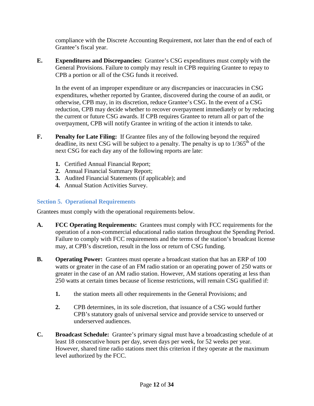compliance with the Discrete Accounting Requirement, not later than the end of each of Grantee's fiscal year.

**E. Expenditures and Discrepancies:** Grantee's CSG expenditures must comply with the General Provisions. Failure to comply may result in CPB requiring Grantee to repay to CPB a portion or all of the CSG funds it received.

In the event of an improper expenditure or any discrepancies or inaccuracies in CSG expenditures, whether reported by Grantee, discovered during the course of an audit, or otherwise, CPB may, in its discretion, reduce Grantee's CSG. In the event of a CSG reduction, CPB may decide whether to recover overpayment immediately or by reducing the current or future CSG awards. If CPB requires Grantee to return all or part of the overpayment, CPB will notify Grantee in writing of the action it intends to take.

- **F. Penalty for Late Filing:** If Grantee files any of the following beyond the required deadline, its next CSG will be subject to a penalty. The penalty is up to  $1/365<sup>th</sup>$  of the next CSG for each day any of the following reports are late:
	- **1.** Certified Annual Financial Report;
	- **2.** Annual Financial Summary Report;
	- **3.** Audited Financial Statements (if applicable); and
	- **4.** Annual Station Activities Survey.

#### <span id="page-11-0"></span>**Section 5. Operational Requirements**

Grantees must comply with the operational requirements below.

- **A. FCC Operating Requirements:** Grantees must comply with FCC requirements for the operation of a non-commercial educational radio station throughout the Spending Period. Failure to comply with FCC requirements and the terms of the station's broadcast license may, at CPB's discretion, result in the loss or return of CSG funding.
- **B. Operating Power:** Grantees must operate a broadcast station that has an ERP of 100 watts or greater in the case of an FM radio station or an operating power of 250 watts or greater in the case of an AM radio station. However, AM stations operating at less than 250 watts at certain times because of license restrictions, will remain CSG qualified if:
	- **1.** the station meets all other requirements in the General Provisions; and
	- **2.** CPB determines, in its sole discretion, that issuance of a CSG would further CPB's statutory goals of universal service and provide service to unserved or underserved audiences.
- **C. Broadcast Schedule:** Grantee's primary signal must have a broadcasting schedule of at least 18 consecutive hours per day, seven days per week, for 52 weeks per year. However, shared time radio stations meet this criterion if they operate at the maximum level authorized by the FCC.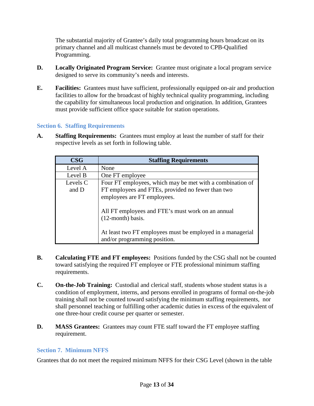The substantial majority of Grantee's daily total programming hours broadcast on its primary channel and all multicast channels must be devoted to CPB-Qualified Programming.

- **D. Locally Originated Program Service:** Grantee must originate a local program service designed to serve its community's needs and interests.
- **E. Facilities:** Grantees must have sufficient, professionally equipped on-air and production facilities to allow for the broadcast of highly technical quality programming, including the capability for simultaneous local production and origination. In addition, Grantees must provide sufficient office space suitable for station operations.

#### <span id="page-12-0"></span>**Section 6. Staffing Requirements**

**A. Staffing Requirements:** Grantees must employ at least the number of staff for their respective levels as set forth in following table.

| $\bf{CSG}$        | <b>Staffing Requirements</b>                                                                                                                  |
|-------------------|-----------------------------------------------------------------------------------------------------------------------------------------------|
| Level A           | None                                                                                                                                          |
| Level B           | One FT employee                                                                                                                               |
| Levels C<br>and D | Four FT employees, which may be met with a combination of<br>FT employees and FTEs, provided no fewer than two<br>employees are FT employees. |
|                   | All FT employees and FTE's must work on an annual<br>$(12$ -month) basis.                                                                     |
|                   | At least two FT employees must be employed in a managerial<br>and/or programming position.                                                    |

- **B. Calculating FTE and FT employees:** Positions funded by the CSG shall not be counted toward satisfying the required FT employee or FTE professional minimum staffing requirements.
- **C. On-the-Job Training:** Custodial and clerical staff, students whose student status is a condition of employment, interns, and persons enrolled in programs of formal on-the-job training shall not be counted toward satisfying the minimum staffing requirements, nor shall personnel teaching or fulfilling other academic duties in excess of the equivalent of one three-hour credit course per quarter or semester.
- **D. MASS Grantees:** Grantees may count FTE staff toward the FT employee staffing requirement.

#### <span id="page-12-1"></span>**Section 7. Minimum NFFS**

Grantees that do not meet the required minimum NFFS for their CSG Level (shown in the table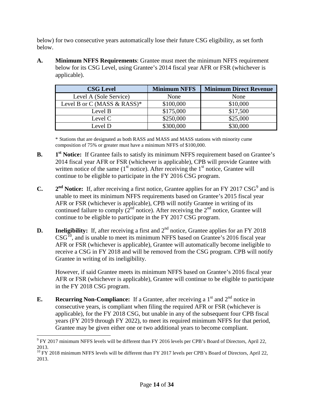below) for two consecutive years automatically lose their future CSG eligibility, as set forth below.

**A. Minimum NFFS Requirements**: Grantee must meet the minimum NFFS requirement below for its CSG Level, using Grantee's 2014 fiscal year AFR or FSR (whichever is applicable).

| <b>CSG Level</b>            | <b>Minimum NFFS</b> | <b>Minimum Direct Revenue</b> |
|-----------------------------|---------------------|-------------------------------|
| Level A (Sole Service)      | None                | None                          |
| Level B or C (MASS & RASS)* | \$100,000           | \$10,000                      |
| Level B                     | \$175,000           | \$17,500                      |
| Level C                     | \$250,000           | \$25,000                      |
| Level D                     | \$300,000           | \$30,000                      |

\* Stations that are designated as both RASS and MASS and MASS stations with minority cume composition of 75% or greater must have a minimum NFFS of \$100,000.

- **B. 1**<sup>st</sup> **Notice:** If Grantee fails to satisfy its minimum NFFS requirement based on Grantee's 2014 fiscal year AFR or FSR (whichever is applicable), CPB will provide Grantee with written notice of the same  $(1<sup>st</sup>$  notice). After receiving the  $1<sup>st</sup>$  notice, Grantee will continue to be eligible to participate in the FY 2016 CSG program.
- **C.**  $2^{nd}$  **Notice:** If, after receiving a first notice, Grantee applies for an FY 2017 CSG<sup>[9](#page-13-0)</sup> and is unable to meet its minimum NFFS requirements based on Grantee's 2015 fiscal year AFR or FSR (whichever is applicable), CPB will notify Grantee in writing of its continued failure to comply  $(2<sup>nd</sup> notice)$ . After receiving the  $2<sup>nd</sup>$  notice, Grantee will continue to be eligible to participate in the FY 2017 CSG program.
- **D. Ineligibility:** If, after receiving a first and  $2<sup>nd</sup>$  notice, Grantee applies for an FY 2018  $\text{CSG}^{\text{10}}$  $\text{CSG}^{\text{10}}$  $\text{CSG}^{\text{10}}$ , and is unable to meet its minimum NFFS based on Grantee's 2016 fiscal year AFR or FSR (whichever is applicable), Grantee will automatically become ineligible to receive a CSG in FY 2018 and will be removed from the CSG program. CPB will notify Grantee in writing of its ineligibility.

However, if said Grantee meets its minimum NFFS based on Grantee's 2016 fiscal year AFR or FSR (whichever is applicable), Grantee will continue to be eligible to participate in the FY 2018 CSG program.

**E. Recurring Non-Compliance:** If a Grantee, after receiving a  $1<sup>st</sup>$  and  $2<sup>nd</sup>$  notice in consecutive years, is compliant when filing the required AFR or FSR (whichever is applicable), for the FY 2018 CSG, but unable in any of the subsequent four CPB fiscal years (FY 2019 through FY 2022), to meet its required minimum NFFS for that period, Grantee may be given either one or two additional years to become compliant.

<span id="page-13-0"></span> <sup>9</sup> FY 2017 minimum NFFS levels will be different than FY 2016 levels per CPB's Board of Directors, April 22, 2013.

<span id="page-13-1"></span><sup>&</sup>lt;sup>10</sup> FY 2018 minimum NFFS levels will be different than FY 2017 levels per CPB's Board of Directors, April 22, 2013.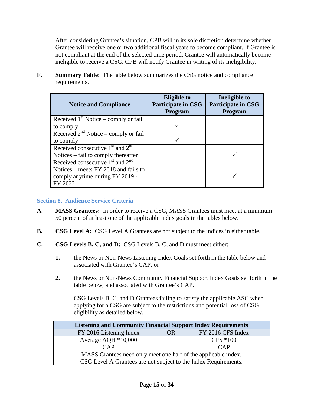After considering Grantee's situation, CPB will in its sole discretion determine whether Grantee will receive one or two additional fiscal years to become compliant. If Grantee is not compliant at the end of the selected time period, Grantee will automatically become ineligible to receive a CSG. CPB will notify Grantee in writing of its ineligibility.

| <b>Notice and Compliance</b>              | <b>Eligible to</b><br><b>Participate in CSG</b><br>Program | Ineligible to<br><b>Participate in CSG</b><br>Program |
|-------------------------------------------|------------------------------------------------------------|-------------------------------------------------------|
| Received $1st$ Notice – comply or fail    |                                                            |                                                       |
| to comply                                 |                                                            |                                                       |
| Received $2^{nd}$ Notice – comply or fail |                                                            |                                                       |
| to comply                                 |                                                            |                                                       |
| Received consecutive $1st$ and $2nd$      |                                                            |                                                       |
| Notices – fail to comply thereafter       |                                                            |                                                       |
| Received consecutive $1st$ and $2nd$      |                                                            |                                                       |
| Notices – meets FY 2018 and fails to      |                                                            |                                                       |
| comply anytime during FY 2019 -           |                                                            |                                                       |
| FY 2022                                   |                                                            |                                                       |

**F. Summary Table:** The table below summarizes the CSG notice and compliance requirements.

#### <span id="page-14-0"></span>**Section 8. Audience Service Criteria**

- **A. MASS Grantees:** In order to receive a CSG, MASS Grantees must meet at a minimum 50 percent of at least one of the applicable index goals in the tables below.
- **B. CSG Level A:** CSG Level A Grantees are not subject to the indices in either table.
- **C. CSG Levels B, C, and D:** CSG Levels B, C, and D must meet either:
	- **1.** the News or Non-News Listening Index Goals set forth in the table below and associated with Grantee's CAP; or
	- **2.** the News or Non-News Community Financial Support Index Goals set forth in the table below, and associated with Grantee's CAP.

CSG Levels B, C, and D Grantees failing to satisfy the applicable ASC when applying for a CSG are subject to the restrictions and potential loss of CSG eligibility as detailed below.

| <b>Listening and Community Financial Support Index Requirements</b> |  |             |  |  |  |  |
|---------------------------------------------------------------------|--|-------------|--|--|--|--|
| FY 2016 Listening Index<br>FY 2016 CFS Index<br><b>OR</b>           |  |             |  |  |  |  |
| Average AQH *10,000                                                 |  | $CFS * 100$ |  |  |  |  |
| CAP                                                                 |  | CAP         |  |  |  |  |
| MASS Grantees need only meet one half of the applicable index.      |  |             |  |  |  |  |
| CSG Level A Grantees are not subject to the Index Requirements.     |  |             |  |  |  |  |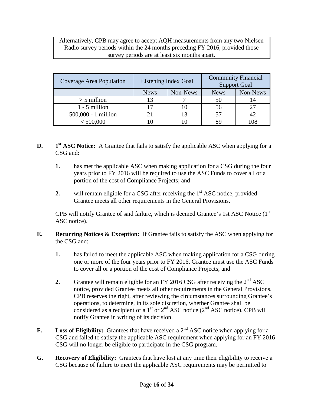Alternatively, CPB may agree to accept AQH measurements from any two Nielsen Radio survey periods within the 24 months preceding FY 2016, provided those survey periods are at least six months apart.

| Coverage Area Population | <b>Community Financial</b><br>Listening Index Goal<br><b>Support Goal</b> |          |             |          |
|--------------------------|---------------------------------------------------------------------------|----------|-------------|----------|
|                          | <b>News</b>                                                               | Non-News | <b>News</b> | Non-News |
| $>$ 5 million            |                                                                           |          | 50          |          |
| $1 - 5$ million          |                                                                           |          | 56          | 27       |
| $500,000 - 1$ million    |                                                                           |          |             | 42       |
| < 500,000                |                                                                           |          |             | 108      |

**D. 1st ASC Notice:** A Grantee that fails to satisfy the applicable ASC when applying for a CSG and:

- **1.** has met the applicable ASC when making application for a CSG during the four years prior to FY 2016 will be required to use the ASC Funds to cover all or a portion of the cost of Compliance Projects; and
- **2.** will remain eligible for a CSG after receiving the 1<sup>st</sup> ASC notice, provided Grantee meets all other requirements in the General Provisions.

CPB will notify Grantee of said failure, which is deemed Grantee's 1st ASC Notice (1st ASC notice).

- **E. Recurring Notices & Exception:** If Grantee fails to satisfy the ASC when applying for the CSG and:
	- **1.** has failed to meet the applicable ASC when making application for a CSG during one or more of the four years prior to FY 2016, Grantee must use the ASC Funds to cover all or a portion of the cost of Compliance Projects; and
	- **2.** Grantee will remain eligible for an FY 2016 CSG after receiving the  $2^{nd}$  ASC notice, provided Grantee meets all other requirements in the General Provisions. CPB reserves the right, after reviewing the circumstances surrounding Grantee's operations, to determine, in its sole discretion, whether Grantee shall be considered as a recipient of a  $1<sup>st</sup>$  or  $2<sup>nd</sup>$  ASC notice ( $2<sup>nd</sup>$  ASC notice). CPB will notify Grantee in writing of its decision.
- **F. Loss of Eligibility:** Grantees that have received a  $2^{nd}$  ASC notice when applying for a CSG and failed to satisfy the applicable ASC requirement when applying for an FY 2016 CSG will no longer be eligible to participate in the CSG program.
- **G. Recovery of Eligibility:** Grantees that have lost at any time their eligibility to receive a CSG because of failure to meet the applicable ASC requirements may be permitted to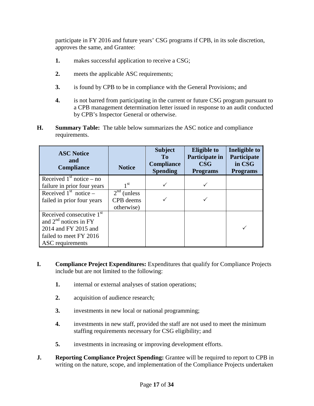participate in FY 2016 and future years' CSG programs if CPB, in its sole discretion, approves the same, and Grantee:

- **1.** makes successful application to receive a CSG;
- **2.** meets the applicable ASC requirements;
- **3.** is found by CPB to be in compliance with the General Provisions; and
- **4.** is not barred from participating in the current or future CSG program pursuant to a CPB management determination letter issued in response to an audit conducted by CPB's Inspector General or otherwise.
- **H. Summary Table:** The table below summarizes the ASC notice and compliance requirements.

| <b>ASC Notice</b><br>and<br><b>Compliance</b> | <b>Notice</b>   | <b>Subject</b><br>T <sub>0</sub><br><b>Compliance</b><br><b>Spending</b> | <b>Eligible to</b><br>Participate in<br>$\bf{CSG}$<br><b>Programs</b> | Ineligible to<br>Participate<br>in CSG<br><b>Programs</b> |
|-----------------------------------------------|-----------------|--------------------------------------------------------------------------|-----------------------------------------------------------------------|-----------------------------------------------------------|
| Received $1st$ notice – no                    |                 |                                                                          |                                                                       |                                                           |
| failure in prior four years                   | 1 <sup>st</sup> |                                                                          |                                                                       |                                                           |
| Received $1st$ notice –                       | $2nd$ (unless   |                                                                          |                                                                       |                                                           |
| failed in prior four years                    | CPB deems       |                                                                          |                                                                       |                                                           |
|                                               | otherwise)      |                                                                          |                                                                       |                                                           |
| Received consecutive $1st$                    |                 |                                                                          |                                                                       |                                                           |
| and $2nd$ notices in FY                       |                 |                                                                          |                                                                       |                                                           |
| 2014 and FY 2015 and                          |                 |                                                                          |                                                                       |                                                           |
| failed to meet FY 2016                        |                 |                                                                          |                                                                       |                                                           |
| ASC requirements                              |                 |                                                                          |                                                                       |                                                           |

- **I. Compliance Project Expenditures:** Expenditures that qualify for Compliance Projects include but are not limited to the following:
	- **1.** internal or external analyses of station operations;
	- **2.** acquisition of audience research;
	- **3.** investments in new local or national programming;
	- **4.** investments in new staff, provided the staff are not used to meet the minimum staffing requirements necessary for CSG eligibility; and
	- **5.** investments in increasing or improving development efforts.
- **J. Reporting Compliance Project Spending:** Grantee will be required to report to CPB in writing on the nature, scope, and implementation of the Compliance Projects undertaken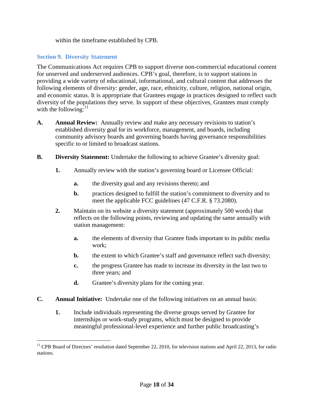within the timeframe established by CPB.

#### <span id="page-17-0"></span>**Section 9. Diversity Statement**

The Communications Act requires CPB to support diverse non-commercial educational content for unserved and underserved audiences. CPB's goal, therefore, is to support stations in providing a wide variety of educational, informational, and cultural content that addresses the following elements of diversity: gender, age, race, ethnicity, culture, religion, national origin, and economic status. It is appropriate that Grantees engage in practices designed to reflect such diversity of the populations they serve. In support of these objectives, Grantees must comply with the following: $^{11}$  $^{11}$  $^{11}$ 

- **A. Annual Review:** Annually review and make any necessary revisions to station's established diversity goal for its workforce, management, and boards, including community advisory boards and governing boards having governance responsibilities specific to or limited to broadcast stations.
- **B. Diversity Statement:** Undertake the following to achieve Grantee's diversity goal:
	- **1.** Annually review with the station's governing board or Licensee Official:
		- **a.** the diversity goal and any revisions thereto; and
		- **b.** practices designed to fulfill the station's commitment to diversity and to meet the applicable FCC guidelines (47 C.F.R. § 73.2080).
	- **2.** Maintain on its website a diversity statement (approximately 500 words) that reflects on the following points, reviewing and updating the same annually with station management:
		- **a.** the elements of diversity that Grantee finds important to its public media work;
		- **b.** the extent to which Grantee's staff and governance reflect such diversity;
		- **c.** the progress Grantee has made to increase its diversity in the last two to three years; and
		- **d.** Grantee's diversity plans for the coming year.
- **C. Annual Initiative:** Undertake one of the following initiatives on an annual basis:
	- **1.** Include individuals representing the diverse groups served by Grantee for internships or work-study programs, which must be designed to provide meaningful professional-level experience and further public broadcasting's

<span id="page-17-1"></span> $11$  CPB Board of Directors' resolution dated September 22, 2010, for television stations and April 22, 2013, for radio stations.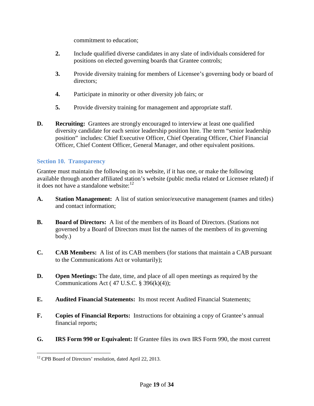commitment to education;

- **2.** Include qualified diverse candidates in any slate of individuals considered for positions on elected governing boards that Grantee controls;
- **3.** Provide diversity training for members of Licensee's governing body or board of directors;
- **4.** Participate in minority or other diversity job fairs; or
- **5.** Provide diversity training for management and appropriate staff.
- **D. Recruiting:** Grantees are strongly encouraged to interview at least one qualified diversity candidate for each senior leadership position hire. The term "senior leadership position" includes: Chief Executive Officer, Chief Operating Officer, Chief Financial Officer, Chief Content Officer, General Manager, and other equivalent positions.

#### <span id="page-18-0"></span>**Section 10. Transparency**

Grantee must maintain the following on its website, if it has one, or make the following available through another affiliated station's website (public media related or Licensee related) if it does not have a standalone website:<sup>[12](#page-18-1)</sup>

- **A. Station Management:** A list of station senior/executive management (names and titles) and contact information;
- **B. Board of Directors:** A list of the members of its Board of Directors. (Stations not governed by a Board of Directors must list the names of the members of its governing body.)
- **C. CAB Members:** A list of its CAB members (for stations that maintain a CAB pursuant to the Communications Act or voluntarily);
- **D. Open Meetings:** The date, time, and place of all open meetings as required by the Communications Act (47 U.S.C.  $\S$  396(k)(4));
- **E. Audited Financial Statements:** Its most recent Audited Financial Statements;
- **F. Copies of Financial Reports:** Instructions for obtaining a copy of Grantee's annual financial reports;
- **G. IRS Form 990 or Equivalent:** If Grantee files its own IRS Form 990, the most current

<span id="page-18-1"></span><sup>&</sup>lt;sup>12</sup> CPB Board of Directors' resolution, dated April 22, 2013.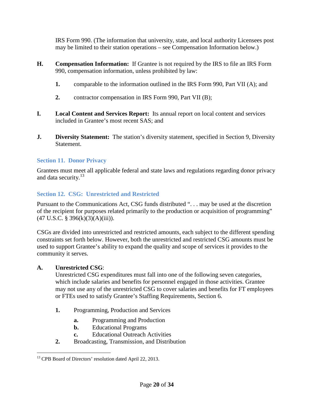IRS Form 990. (The information that university, state, and local authority Licensees post may be limited to their station operations – see Compensation Information below.)

- **H. Compensation Information:** If Grantee is not required by the IRS to file an IRS Form 990, compensation information, unless prohibited by law:
	- **1.** comparable to the information outlined in the IRS Form 990, Part VII (A); and
	- **2.** contractor compensation in IRS Form 990, Part VII (B);
- **I. Local Content and Services Report:** Its annual report on local content and services included in Grantee's most recent SAS; and
- **J. Diversity Statement:** The station's diversity statement, specified in Section 9, Diversity Statement.

### <span id="page-19-0"></span>**Section 11. Donor Privacy**

Grantees must meet all applicable federal and state laws and regulations regarding donor privacy and data security.<sup>[13](#page-19-2)</sup>

## <span id="page-19-1"></span>**Section 12. CSG: Unrestricted and Restricted**

Pursuant to the Communications Act, CSG funds distributed ". . . may be used at the discretion of the recipient for purposes related primarily to the production or acquisition of programming"  $(47 \text{ U.S.C. } § 396(k)(3)(A)(iii)).$ 

CSGs are divided into unrestricted and restricted amounts, each subject to the different spending constraints set forth below. However, both the unrestricted and restricted CSG amounts must be used to support Grantee's ability to expand the quality and scope of services it provides to the community it serves.

#### **A. Unrestricted CSG**:

Unrestricted CSG expenditures must fall into one of the following seven categories, which include salaries and benefits for personnel engaged in those activities. Grantee may not use any of the unrestricted CSG to cover salaries and benefits for FT employees or FTEs used to satisfy Grantee's Staffing Requirements, Section 6.

- **1.** Programming, Production and Services
	- **a.** Programming and Production
	- **b.** Educational Programs
	- **c.** Educational Outreach Activities
- **2.** Broadcasting, Transmission, and Distribution

<span id="page-19-2"></span><sup>&</sup>lt;sup>13</sup> CPB Board of Directors' resolution dated April 22, 2013.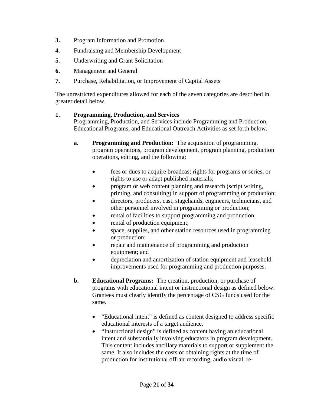- **3.** Program Information and Promotion
- **4.** Fundraising and Membership Development
- **5.** Underwriting and Grant Solicitation
- **6.** Management and General
- **7.** Purchase, Rehabilitation, or Improvement of Capital Assets

The unrestricted expenditures allowed for each of the seven categories are described in greater detail below.

#### **1. Programming, Production, and Services**

Programming, Production, and Services include Programming and Production, Educational Programs, and Educational Outreach Activities as set forth below.

- **a. Programming and Production:** The acquisition of programming, program operations, program development, program planning, production operations, editing, and the following:
	- fees or dues to acquire broadcast rights for programs or series, or rights to use or adapt published materials;
	- program or web content planning and research (script writing, printing, and consulting) in support of programming or production;
	- directors, producers, cast, stagehands, engineers, technicians, and other personnel involved in programming or production;
	- rental of facilities to support programming and production;
	- rental of production equipment;
	- space, supplies, and other station resources used in programming or production;
	- repair and maintenance of programming and production equipment; and
	- depreciation and amortization of station equipment and leasehold improvements used for programming and production purposes.
- **b. Educational Programs:** The creation, production, or purchase of programs with educational intent or instructional design as defined below. Grantees must clearly identify the percentage of CSG funds used for the same.
	- "Educational intent" is defined as content designed to address specific educational interests of a target audience.
	- "Instructional design" is defined as content having an educational intent and substantially involving educators in program development. This content includes ancillary materials to support or supplement the same. It also includes the costs of obtaining rights at the time of production for institutional off-air recording, audio visual, re-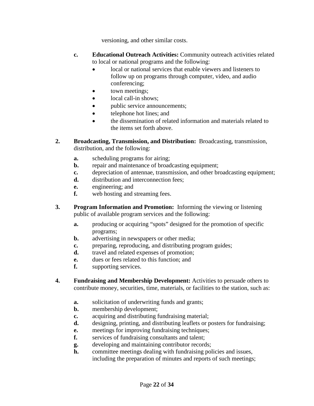versioning, and other similar costs.

- **c. Educational Outreach Activities:** Community outreach activities related to local or national programs and the following:
	- local or national services that enable viewers and listeners to follow up on programs through computer, video, and audio conferencing;
	- town meetings;
	- local call-in shows;
	- public service announcements;
	- telephone hot lines; and
	- the dissemination of related information and materials related to the items set forth above.
- **2. Broadcasting, Transmission, and Distribution:** Broadcasting, transmission, distribution, and the following:
	- **a.** scheduling programs for airing;
	- **b.** repair and maintenance of broadcasting equipment;
	- **c.** depreciation of antennae, transmission, and other broadcasting equipment;
	- **d.** distribution and interconnection fees;
	- **e.** engineering; and
	- **f.** web hosting and streaming fees.
- **3. Program Information and Promotion:** Informing the viewing or listening public of available program services and the following:
	- **a.** producing or acquiring "spots" designed for the promotion of specific programs;
	- **b.** advertising in newspapers or other media;
	- **c.** preparing, reproducing, and distributing program guides;
	- **d.** travel and related expenses of promotion;
	- **e.** dues or fees related to this function; and
	- **f.** supporting services.
- **4. Fundraising and Membership Development:** Activities to persuade others to contribute money, securities, time, materials, or facilities to the station, such as:
	- **a.** solicitation of underwriting funds and grants;
	- **b.** membership development;
	- **c.** acquiring and distributing fundraising material;
	- **d.** designing, printing, and distributing leaflets or posters for fundraising;
	- **e.** meetings for improving fundraising techniques;
	- **f.** services of fundraising consultants and talent;
	- **g.** developing and maintaining contributor records;
	- **h.** committee meetings dealing with fundraising policies and issues, including the preparation of minutes and reports of such meetings;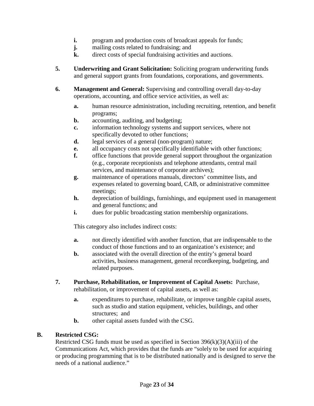- **i.** program and production costs of broadcast appeals for funds;
- **j.** mailing costs related to fundraising; and
- **k.** direct costs of special fundraising activities and auctions.
- **5. Underwriting and Grant Solicitation:** Soliciting program underwriting funds and general support grants from foundations, corporations, and governments.
- **6. Management and General:** Supervising and controlling overall day-to-day operations, accounting, and office service activities, as well as:
	- **a.** human resource administration, including recruiting, retention, and benefit programs;
	- **b.** accounting, auditing, and budgeting;
	- **c.** information technology systems and support services, where not specifically devoted to other functions;
	- **d.** legal services of a general (non-program) nature;
	- **e.** all occupancy costs not specifically identifiable with other functions;
	- **f.** office functions that provide general support throughout the organization (e.g., corporate receptionists and telephone attendants, central mail services, and maintenance of corporate archives);
	- **g.** maintenance of operations manuals, directors' committee lists, and expenses related to governing board, CAB, or administrative committee meetings;
	- **h.** depreciation of buildings, furnishings, and equipment used in management and general functions; and
	- **i.** dues for public broadcasting station membership organizations.

This category also includes indirect costs:

- **a.** not directly identified with another function, that are indispensable to the conduct of those functions and to an organization's existence; and
- **b.** associated with the overall direction of the entity's general board activities, business management, general recordkeeping, budgeting, and related purposes.
- **7. Purchase, Rehabilitation, or Improvement of Capital Assets:** Purchase, rehabilitation, or improvement of capital assets, as well as:
	- **a.** expenditures to purchase, rehabilitate, or improve tangible capital assets, such as studio and station equipment, vehicles, buildings, and other structures; and
	- **b.** other capital assets funded with the CSG.

#### **B. Restricted CSG:**

Restricted CSG funds must be used as specified in Section  $396(k)(3)(A)(iii)$  of the Communications Act, which provides that the funds are "solely to be used for acquiring or producing programming that is to be distributed nationally and is designed to serve the needs of a national audience."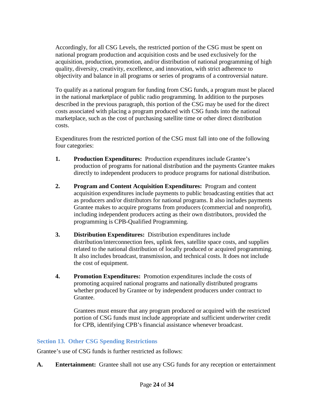Accordingly, for all CSG Levels, the restricted portion of the CSG must be spent on national program production and acquisition costs and be used exclusively for the acquisition, production, promotion, and/or distribution of national programming of high quality, diversity, creativity, excellence, and innovation, with strict adherence to objectivity and balance in all programs or series of programs of a controversial nature.

To qualify as a national program for funding from CSG funds, a program must be placed in the national marketplace of public radio programming. In addition to the purposes described in the previous paragraph, this portion of the CSG may be used for the direct costs associated with placing a program produced with CSG funds into the national marketplace, such as the cost of purchasing satellite time or other direct distribution costs.

Expenditures from the restricted portion of the CSG must fall into one of the following four categories:

- **1. Production Expenditures:** Production expenditures include Grantee's production of programs for national distribution and the payments Grantee makes directly to independent producers to produce programs for national distribution.
- **2. Program and Content Acquisition Expenditures:** Program and content acquisition expenditures include payments to public broadcasting entities that act as producers and/or distributors for national programs. It also includes payments Grantee makes to acquire programs from producers (commercial and nonprofit), including independent producers acting as their own distributors, provided the programming is CPB-Qualified Programming.
- **3. Distribution Expenditures:** Distribution expenditures include distribution/interconnection fees, uplink fees, satellite space costs, and supplies related to the national distribution of locally produced or acquired programming. It also includes broadcast, transmission, and technical costs. It does not include the cost of equipment.
- **4. Promotion Expenditures:** Promotion expenditures include the costs of promoting acquired national programs and nationally distributed programs whether produced by Grantee or by independent producers under contract to Grantee.

Grantees must ensure that any program produced or acquired with the restricted portion of CSG funds must include appropriate and sufficient underwriter credit for CPB, identifying CPB's financial assistance whenever broadcast.

#### <span id="page-23-0"></span>**Section 13. Other CSG Spending Restrictions**

Grantee's use of CSG funds is further restricted as follows:

**A. Entertainment:** Grantee shall not use any CSG funds for any reception or entertainment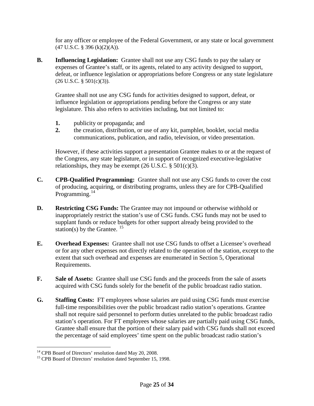for any officer or employee of the Federal Government, or any state or local government  $(47 \text{ U.S.C. } § 396 \text{ (k)}(2)(A)).$ 

**B. Influencing Legislation:** Grantee shall not use any CSG funds to pay the salary or expenses of Grantee's staff, or its agents, related to any activity designed to support, defeat, or influence legislation or appropriations before Congress or any state legislature  $(26 \text{ U.S.C.} \S 501(c)(3)).$ 

Grantee shall not use any CSG funds for activities designed to support, defeat, or influence legislation or appropriations pending before the Congress or any state legislature. This also refers to activities including, but not limited to:

- **1.** publicity or propaganda; and
- **2.** the creation, distribution, or use of any kit, pamphlet, booklet, social media communications, publication, and radio, television, or video presentation.

However, if these activities support a presentation Grantee makes to or at the request of the Congress, any state legislature, or in support of recognized executive-legislative relationships, they may be exempt  $(26 \text{ U.S.C.} \S 501(c)(3))$ .

- **C. CPB-Qualified Programming:** Grantee shall not use any CSG funds to cover the cost of producing, acquiring, or distributing programs, unless they are for CPB-Qualified Programming.<sup>[14](#page-24-0)</sup>
- **D. Restricting CSG Funds:** The Grantee may not impound or otherwise withhold or inappropriately restrict the station's use of CSG funds. CSG funds may not be used to supplant funds or reduce budgets for other support already being provided to the station(s) by the Grantee.  $15$
- **E. Overhead Expenses:** Grantee shall not use CSG funds to offset a Licensee's overhead or for any other expenses not directly related to the operation of the station, except to the extent that such overhead and expenses are enumerated in Section 5, Operational Requirements.
- **F. Sale of Assets:** Grantee shall use CSG funds and the proceeds from the sale of assets acquired with CSG funds solely for the benefit of the public broadcast radio station.
- **G. Staffing Costs:** FT employees whose salaries are paid using CSG funds must exercise full-time responsibilities over the public broadcast radio station's operations. Grantee shall not require said personnel to perform duties unrelated to the public broadcast radio station's operation. For FT employees whose salaries are partially paid using CSG funds, Grantee shall ensure that the portion of their salary paid with CSG funds shall not exceed the percentage of said employees' time spent on the public broadcast radio station's

<span id="page-24-1"></span><span id="page-24-0"></span><sup>&</sup>lt;sup>14</sup> CPB Board of Directors' resolution dated May 20, 2008.<br><sup>15</sup> CPB Board of Directors' resolution dated September 15, 1998.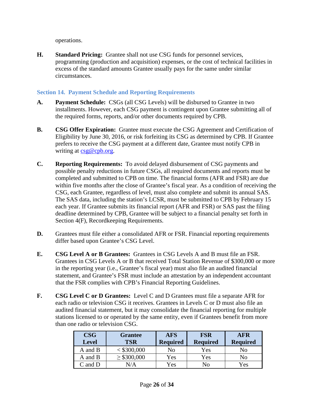operations.

**H. Standard Pricing:** Grantee shall not use CSG funds for personnel services, programming (production and acquisition) expenses, or the cost of technical facilities in excess of the standard amounts Grantee usually pays for the same under similar circumstances.

### <span id="page-25-0"></span>**Section 14. Payment Schedule and Reporting Requirements**

- **A. Payment Schedule:** CSGs (all CSG Levels) will be disbursed to Grantee in two installments. However, each CSG payment is contingent upon Grantee submitting all of the required forms, reports, and/or other documents required by CPB.
- **B. CSG Offer Expiration:** Grantee must execute the CSG Agreement and Certification of Eligibility by June 30, 2016, or risk forfeiting its CSG as determined by CPB. If Grantee prefers to receive the CSG payment at a different date, Grantee must notify CPB in writing at [csg@cpb.org.](mailto:csg@cpb.org)
- **C. Reporting Requirements:** To avoid delayed disbursement of CSG payments and possible penalty reductions in future CSGs, all required documents and reports must be completed and submitted to CPB on time. The financial forms (AFR and FSR) are due within five months after the close of Grantee's fiscal year. As a condition of receiving the CSG, each Grantee, regardless of level, must also complete and submit its annual SAS. The SAS data, including the station's LCSR, must be submitted to CPB by February 15 each year. If Grantee submits its financial report (AFR and FSR) or SAS past the filing deadline determined by CPB, Grantee will be subject to a financial penalty set forth in Section 4(F), Recordkeeping Requirements.
- **D.** Grantees must file either a consolidated AFR or FSR. Financial reporting requirements differ based upon Grantee's CSG Level.
- **E. CSG Level A or B Grantees:** Grantees in CSG Levels A and B must file an FSR. Grantees in CSG Levels A or B that received Total Station Revenue of \$300,000 or more in the reporting year (i.e., Grantee's fiscal year) must also file an audited financial statement, and Grantee's FSR must include an attestation by an independent accountant that the FSR complies with CPB's Financial Reporting Guidelines.
- **F. CSG Level C or D Grantees:** Level C and D Grantees must file a separate AFR for each radio or television CSG it receives. Grantees in Levels C or D must also file an audited financial statement, but it may consolidate the financial reporting for multiple stations licensed to or operated by the same entity, even if Grantees benefit from more than one radio or television CSG.

| <b>CSG</b><br><b>Level</b> | <b>Grantee</b><br><b>TSR</b> | <b>AFS</b><br><b>Required</b> | <b>FSR</b><br><b>Required</b> | <b>AFR</b><br><b>Required</b> |
|----------------------------|------------------------------|-------------------------------|-------------------------------|-------------------------------|
| A and B                    | < \$300,000                  | No                            | Yes                           | No                            |
| A and B                    | $\geq$ \$300,000             | Yes                           | Yes                           | No                            |
| $C$ and $D$                | N/A                          | Yes                           | No                            | Yes                           |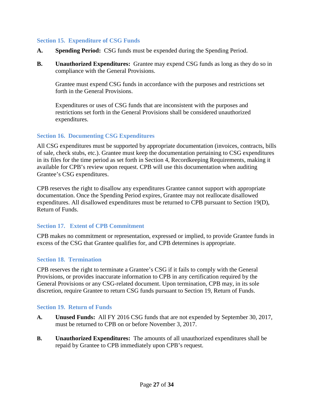#### <span id="page-26-0"></span>**Section 15. Expenditure of CSG Funds**

- **A. Spending Period:** CSG funds must be expended during the Spending Period.
- **B. Unauthorized Expenditures:** Grantee may expend CSG funds as long as they do so in compliance with the General Provisions.

Grantee must expend CSG funds in accordance with the purposes and restrictions set forth in the General Provisions.

Expenditures or uses of CSG funds that are inconsistent with the purposes and restrictions set forth in the General Provisions shall be considered unauthorized expenditures.

#### <span id="page-26-1"></span>**Section 16. Documenting CSG Expenditures**

All CSG expenditures must be supported by appropriate documentation (invoices, contracts, bills of sale, check stubs, etc.). Grantee must keep the documentation pertaining to CSG expenditures in its files for the time period as set forth in Section 4, Recordkeeping Requirements, making it available for CPB's review upon request. CPB will use this documentation when auditing Grantee's CSG expenditures.

CPB reserves the right to disallow any expenditures Grantee cannot support with appropriate documentation. Once the Spending Period expires, Grantee may not reallocate disallowed expenditures. All disallowed expenditures must be returned to CPB pursuant to Section 19(D), Return of Funds.

#### <span id="page-26-2"></span>**Section 17. Extent of CPB Commitment**

CPB makes no commitment or representation, expressed or implied, to provide Grantee funds in excess of the CSG that Grantee qualifies for, and CPB determines is appropriate.

#### <span id="page-26-3"></span>**Section 18. Termination**

CPB reserves the right to terminate a Grantee's CSG if it fails to comply with the General Provisions, or provides inaccurate information to CPB in any certification required by the General Provisions or any CSG-related document. Upon termination, CPB may, in its sole discretion, require Grantee to return CSG funds pursuant to Section 19, Return of Funds.

#### <span id="page-26-4"></span>**Section 19. Return of Funds**

- **A. Unused Funds:** All FY 2016 CSG funds that are not expended by September 30, 2017, must be returned to CPB on or before November 3, 2017.
- **B. Unauthorized Expenditures:** The amounts of all unauthorized expenditures shall be repaid by Grantee to CPB immediately upon CPB's request.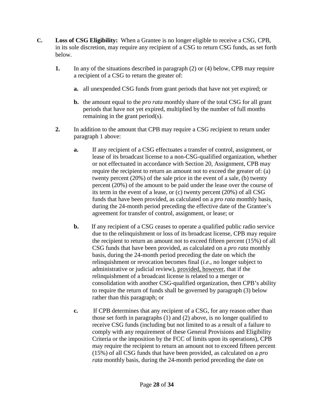- **C. Loss of CSG Eligibility:** When a Grantee is no longer eligible to receive a CSG, CPB, in its sole discretion, may require any recipient of a CSG to return CSG funds, as set forth below.
	- **1.** In any of the situations described in paragraph (2) or (4) below, CPB may require a recipient of a CSG to return the greater of:
		- **a.** all unexpended CSG funds from grant periods that have not yet expired; or
		- **b.** the amount equal to the *pro rata* monthly share of the total CSG for all grant periods that have not yet expired, multiplied by the number of full months remaining in the grant period(s).
	- **2.** In addition to the amount that CPB may require a CSG recipient to return under paragraph 1 above:
		- **a.** If any recipient of a CSG effectuates a transfer of control, assignment, or lease of its broadcast license to a non-CSG-qualified organization, whether or not effectuated in accordance with Section 20, Assignment, CPB may require the recipient to return an amount not to exceed the greater of: (a) twenty percent (20%) of the sale price in the event of a sale, (b) twenty percent (20%) of the amount to be paid under the lease over the course of its term in the event of a lease, or (c) twenty percent (20%) of all CSG funds that have been provided, as calculated on a *pro rata* monthly basis, during the 24-month period preceding the effective date of the Grantee's agreement for transfer of control, assignment, or lease; or
		- **b.** If any recipient of a CSG ceases to operate a qualified public radio service due to the relinquishment or loss of its broadcast license, CPB may require the recipient to return an amount not to exceed fifteen percent (15%) of all CSG funds that have been provided, as calculated on a *pro rata* monthly basis, during the 24-month period preceding the date on which the relinquishment or revocation becomes final (*i.e.*, no longer subject to administrative or judicial review), provided, however, that if the relinquishment of a broadcast license is related to a merger or consolidation with another CSG-qualified organization, then CPB's ability to require the return of funds shall be governed by paragraph (3) below rather than this paragraph; or
		- **c.** If CPB determines that any recipient of a CSG, for any reason other than those set forth in paragraphs (1) and (2) above, is no longer qualified to receive CSG funds (including but not limited to as a result of a failure to comply with any requirement of these General Provisions and Eligibility Criteria or the imposition by the FCC of limits upon its operations), CPB may require the recipient to return an amount not to exceed fifteen percent (15%) of all CSG funds that have been provided, as calculated on a *pro rata* monthly basis, during the 24-month period preceding the date on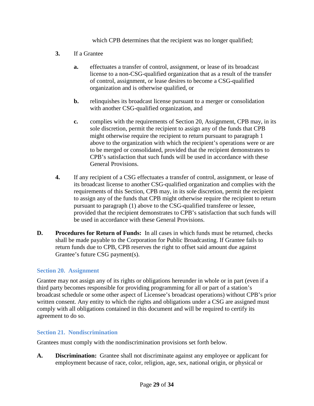which CPB determines that the recipient was no longer qualified;

- **3.** If a Grantee
	- **a.** effectuates a transfer of control, assignment, or lease of its broadcast license to a non-CSG-qualified organization that as a result of the transfer of control, assignment, or lease desires to become a CSG-qualified organization and is otherwise qualified, or
	- **b.** relinquishes its broadcast license pursuant to a merger or consolidation with another CSG-qualified organization, and
	- **c.** complies with the requirements of Section 20, Assignment, CPB may, in its sole discretion, permit the recipient to assign any of the funds that CPB might otherwise require the recipient to return pursuant to paragraph 1 above to the organization with which the recipient's operations were or are to be merged or consolidated, provided that the recipient demonstrates to CPB's satisfaction that such funds will be used in accordance with these General Provisions.
- **4.** If any recipient of a CSG effectuates a transfer of control, assignment, or lease of its broadcast license to another CSG-qualified organization and complies with the requirements of this Section, CPB may, in its sole discretion, permit the recipient to assign any of the funds that CPB might otherwise require the recipient to return pursuant to paragraph (1) above to the CSG-qualified transferee or lessee, provided that the recipient demonstrates to CPB's satisfaction that such funds will be used in accordance with these General Provisions.
- **D. Procedures for Return of Funds:** In all cases in which funds must be returned, checks shall be made payable to the Corporation for Public Broadcasting. If Grantee fails to return funds due to CPB, CPB reserves the right to offset said amount due against Grantee's future CSG payment(s).

#### <span id="page-28-0"></span>**Section 20. Assignment**

Grantee may not assign any of its rights or obligations hereunder in whole or in part (even if a third party becomes responsible for providing programming for all or part of a station's broadcast schedule or some other aspect of Licensee's broadcast operations) without CPB's prior written consent. Any entity to which the rights and obligations under a CSG are assigned must comply with all obligations contained in this document and will be required to certify its agreement to do so.

#### <span id="page-28-1"></span>**Section 21. Nondiscrimination**

Grantees must comply with the nondiscrimination provisions set forth below.

**A. Discrimination:** Grantee shall not discriminate against any employee or applicant for employment because of race, color, religion, age, sex, national origin, or physical or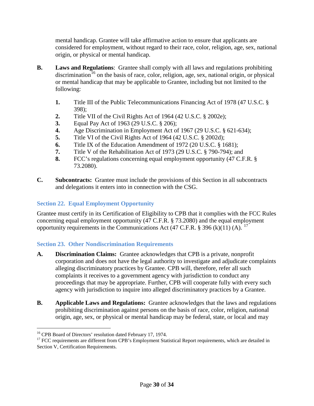mental handicap. Grantee will take affirmative action to ensure that applicants are considered for employment, without regard to their race, color, religion, age, sex, national origin, or physical or mental handicap.

- **B. Laws and Regulations**: Grantee shall comply with all laws and regulations prohibiting discrimination<sup>[16](#page-29-2)</sup> on the basis of race, color, religion, age, sex, national origin, or physical or mental handicap that may be applicable to Grantee, including but not limited to the following:
	- **1.** Title III of the Public Telecommunications Financing Act of 1978 (47 U.S.C. § 398);
	- **2.** Title VII of the Civil Rights Act of 1964 (42 U.S.C. § 2002e);
	- **3.** Equal Pay Act of 1963 (29 U.S.C. § 206);
	- **4.** Age Discrimination in Employment Act of 1967 (29 U.S.C. § 621-634);
	- **5.** Title VI of the Civil Rights Act of 1964 (42 U.S.C. § 2002d);
	- **6.** Title IX of the Education Amendment of 1972 (20 U.S.C. § 1681);
	- **7.** Title V of the Rehabilitation Act of 1973 (29 U.S.C. § 790-794); and
	- **8.** FCC's regulations concerning equal employment opportunity (47 C.F.R. § 73.2080).
- **C. Subcontracts:** Grantee must include the provisions of this Section in all subcontracts and delegations it enters into in connection with the CSG.

## <span id="page-29-0"></span>**Section 22. Equal Employment Opportunity**

Grantee must certify in its Certification of Eligibility to CPB that it complies with the FCC Rules concerning equal employment opportunity (47 C.F.R. § 73.2080) and the equal employment opportunity requirements in the Communications Act (47 C.F.R. § 396 (k)(11) (A).  $^{17}$  $^{17}$  $^{17}$ 

#### <span id="page-29-1"></span>**Section 23. Other Nondiscrimination Requirements**

- **A. Discrimination Claims:** Grantee acknowledges that CPB is a private, nonprofit corporation and does not have the legal authority to investigate and adjudicate complaints alleging discriminatory practices by Grantee. CPB will, therefore, refer all such complaints it receives to a government agency with jurisdiction to conduct any proceedings that may be appropriate. Further, CPB will cooperate fully with every such agency with jurisdiction to inquire into alleged discriminatory practices by a Grantee.
- **B. Applicable Laws and Regulations:** Grantee acknowledges that the laws and regulations prohibiting discrimination against persons on the basis of race, color, religion, national origin, age, sex, or physical or mental handicap may be federal, state, or local and may

<span id="page-29-2"></span><sup>&</sup>lt;sup>16</sup> CPB Board of Directors' resolution dated February 17, 1974.

<span id="page-29-3"></span><sup>&</sup>lt;sup>17</sup> FCC requirements are different from CPB's Employment Statistical Report requirements, which are detailed in Section V, Certification Requirements.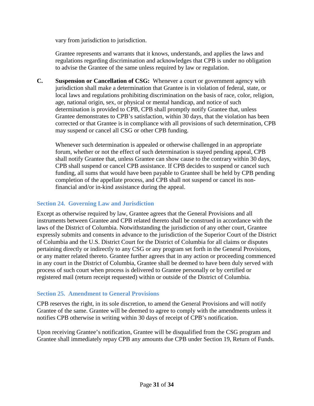vary from jurisdiction to jurisdiction.

Grantee represents and warrants that it knows, understands, and applies the laws and regulations regarding discrimination and acknowledges that CPB is under no obligation to advise the Grantee of the same unless required by law or regulation.

**C. Suspension or Cancellation of CSG:** Whenever a court or government agency with jurisdiction shall make a determination that Grantee is in violation of federal, state, or local laws and regulations prohibiting discrimination on the basis of race, color, religion, age, national origin, sex, or physical or mental handicap, and notice of such determination is provided to CPB, CPB shall promptly notify Grantee that, unless Grantee demonstrates to CPB's satisfaction, within 30 days, that the violation has been corrected or that Grantee is in compliance with all provisions of such determination, CPB may suspend or cancel all CSG or other CPB funding.

Whenever such determination is appealed or otherwise challenged in an appropriate forum, whether or not the effect of such determination is stayed pending appeal, CPB shall notify Grantee that, unless Grantee can show cause to the contrary within 30 days, CPB shall suspend or cancel CPB assistance. If CPB decides to suspend or cancel such funding, all sums that would have been payable to Grantee shall be held by CPB pending completion of the appellate process, and CPB shall not suspend or cancel its nonfinancial and/or in-kind assistance during the appeal.

#### <span id="page-30-0"></span>**Section 24. Governing Law and Jurisdiction**

Except as otherwise required by law, Grantee agrees that the General Provisions and all instruments between Grantee and CPB related thereto shall be construed in accordance with the laws of the District of Columbia. Notwithstanding the jurisdiction of any other court, Grantee expressly submits and consents in advance to the jurisdiction of the Superior Court of the District of Columbia and the U.S. District Court for the District of Columbia for all claims or disputes pertaining directly or indirectly to any CSG or any program set forth in the General Provisions, or any matter related thereto. Grantee further agrees that in any action or proceeding commenced in any court in the District of Columbia, Grantee shall be deemed to have been duly served with process of such court when process is delivered to Grantee personally or by certified or registered mail (return receipt requested) within or outside of the District of Columbia.

#### <span id="page-30-1"></span>**Section 25. Amendment to General Provisions**

CPB reserves the right, in its sole discretion, to amend the General Provisions and will notify Grantee of the same. Grantee will be deemed to agree to comply with the amendments unless it notifies CPB otherwise in writing within 30 days of receipt of CPB's notification.

Upon receiving Grantee's notification, Grantee will be disqualified from the CSG program and Grantee shall immediately repay CPB any amounts due CPB under Section 19, Return of Funds.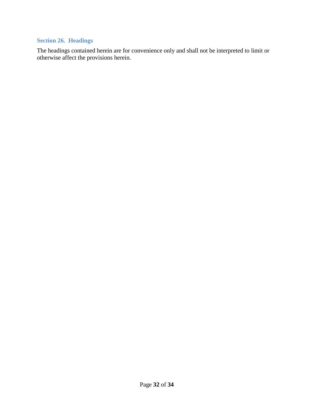## <span id="page-31-0"></span>**Section 26. Headings**

The headings contained herein are for convenience only and shall not be interpreted to limit or otherwise affect the provisions herein.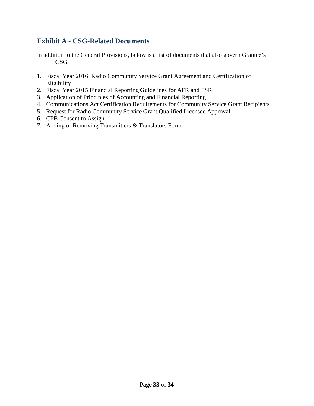## <span id="page-32-0"></span>**Exhibit A - CSG-Related Documents**

In addition to the General Provisions, below is a list of documents that also govern Grantee's CSG.

- 1. Fiscal Year 2016 Radio Community Service Grant Agreement and Certification of Eligibility
- 2. Fiscal Year 2015 Financial Reporting Guidelines for AFR and FSR
- 3. Application of Principles of Accounting and Financial Reporting
- 4. Communications Act Certification Requirements for Community Service Grant Recipients
- 5. Request for Radio Community Service Grant Qualified Licensee Approval
- 6. CPB Consent to Assign
- 7. Adding or Removing Transmitters & Translators Form